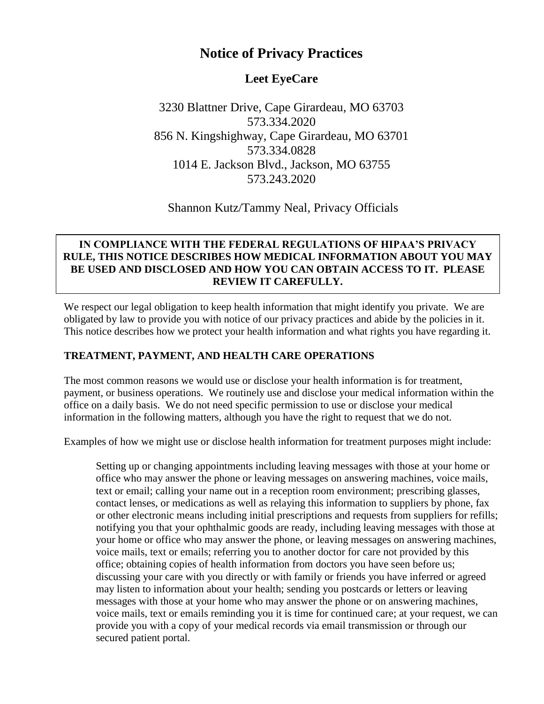# **Notice of Privacy Practices**

## **Leet EyeCare**

3230 Blattner Drive, Cape Girardeau, MO 63703 573.334.2020 856 N. Kingshighway, Cape Girardeau, MO 63701 573.334.0828 1014 E. Jackson Blvd., Jackson, MO 63755 573.243.2020

Shannon Kutz/Tammy Neal, Privacy Officials

#### **IN COMPLIANCE WITH THE FEDERAL REGULATIONS OF HIPAA'S PRIVACY RULE, THIS NOTICE DESCRIBES HOW MEDICAL INFORMATION ABOUT YOU MAY BE USED AND DISCLOSED AND HOW YOU CAN OBTAIN ACCESS TO IT. PLEASE REVIEW IT CAREFULLY.**

We respect our legal obligation to keep health information that might identify you private. We are obligated by law to provide you with notice of our privacy practices and abide by the policies in it. This notice describes how we protect your health information and what rights you have regarding it.

## **TREATMENT, PAYMENT, AND HEALTH CARE OPERATIONS**

The most common reasons we would use or disclose your health information is for treatment, payment, or business operations. We routinely use and disclose your medical information within the office on a daily basis. We do not need specific permission to use or disclose your medical information in the following matters, although you have the right to request that we do not.

Examples of how we might use or disclose health information for treatment purposes might include:

Setting up or changing appointments including leaving messages with those at your home or office who may answer the phone or leaving messages on answering machines, voice mails, text or email; calling your name out in a reception room environment; prescribing glasses, contact lenses, or medications as well as relaying this information to suppliers by phone, fax or other electronic means including initial prescriptions and requests from suppliers for refills; notifying you that your ophthalmic goods are ready, including leaving messages with those at your home or office who may answer the phone, or leaving messages on answering machines, voice mails, text or emails; referring you to another doctor for care not provided by this office; obtaining copies of health information from doctors you have seen before us; discussing your care with you directly or with family or friends you have inferred or agreed may listen to information about your health; sending you postcards or letters or leaving messages with those at your home who may answer the phone or on answering machines, voice mails, text or emails reminding you it is time for continued care; at your request, we can provide you with a copy of your medical records via email transmission or through our secured patient portal.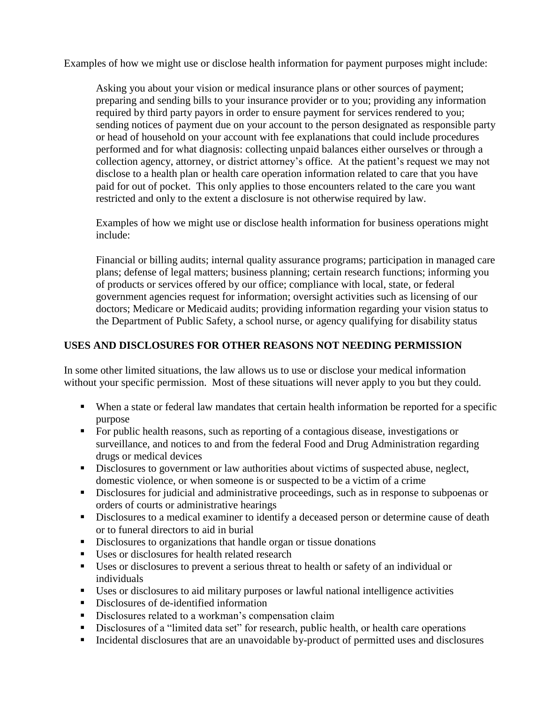Examples of how we might use or disclose health information for payment purposes might include:

Asking you about your vision or medical insurance plans or other sources of payment; preparing and sending bills to your insurance provider or to you; providing any information required by third party payors in order to ensure payment for services rendered to you; sending notices of payment due on your account to the person designated as responsible party or head of household on your account with fee explanations that could include procedures performed and for what diagnosis: collecting unpaid balances either ourselves or through a collection agency, attorney, or district attorney's office. At the patient's request we may not disclose to a health plan or health care operation information related to care that you have paid for out of pocket. This only applies to those encounters related to the care you want restricted and only to the extent a disclosure is not otherwise required by law.

Examples of how we might use or disclose health information for business operations might include:

Financial or billing audits; internal quality assurance programs; participation in managed care plans; defense of legal matters; business planning; certain research functions; informing you of products or services offered by our office; compliance with local, state, or federal government agencies request for information; oversight activities such as licensing of our doctors; Medicare or Medicaid audits; providing information regarding your vision status to the Department of Public Safety, a school nurse, or agency qualifying for disability status

#### **USES AND DISCLOSURES FOR OTHER REASONS NOT NEEDING PERMISSION**

In some other limited situations, the law allows us to use or disclose your medical information without your specific permission. Most of these situations will never apply to you but they could.

- When a state or federal law mandates that certain health information be reported for a specific purpose
- For public health reasons, such as reporting of a contagious disease, investigations or surveillance, and notices to and from the federal Food and Drug Administration regarding drugs or medical devices
- **•** Disclosures to government or law authorities about victims of suspected abuse, neglect, domestic violence, or when someone is or suspected to be a victim of a crime
- **EXECUTE:** Disclosures for judicial and administrative proceedings, such as in response to subpoenas or orders of courts or administrative hearings
- **EXECUTE:** Disclosures to a medical examiner to identify a deceased person or determine cause of death or to funeral directors to aid in burial
- **EXECUTE:** Disclosures to organizations that handle organ or tissue donations
- Uses or disclosures for health related research
- Uses or disclosures to prevent a serious threat to health or safety of an individual or individuals
- Uses or disclosures to aid military purposes or lawful national intelligence activities
- Disclosures of de-identified information
- **•** Disclosures related to a workman's compensation claim
- Disclosures of a "limited data set" for research, public health, or health care operations
- Incidental disclosures that are an unavoidable by-product of permitted uses and disclosures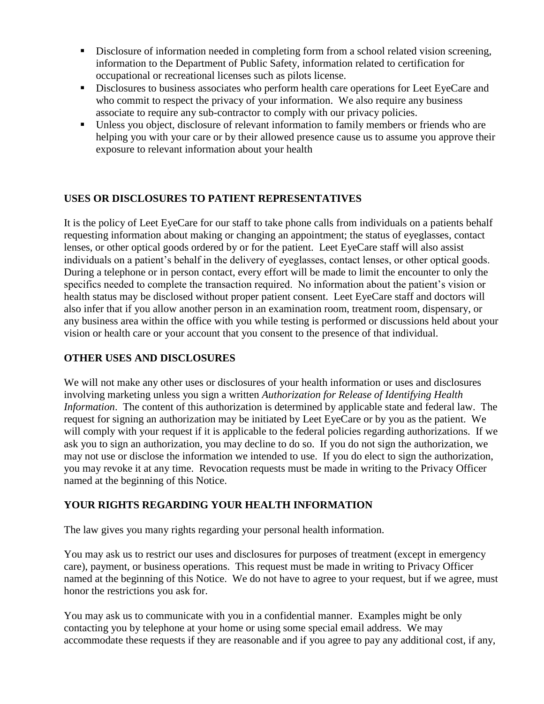- **•** Disclosure of information needed in completing form from a school related vision screening, information to the Department of Public Safety, information related to certification for occupational or recreational licenses such as pilots license.
- **EXECUTE:** Disclosures to business associates who perform health care operations for Leet EyeCare and who commit to respect the privacy of your information. We also require any business associate to require any sub-contractor to comply with our privacy policies.
- Unless you object, disclosure of relevant information to family members or friends who are helping you with your care or by their allowed presence cause us to assume you approve their exposure to relevant information about your health

## **USES OR DISCLOSURES TO PATIENT REPRESENTATIVES**

It is the policy of Leet EyeCare for our staff to take phone calls from individuals on a patients behalf requesting information about making or changing an appointment; the status of eyeglasses, contact lenses, or other optical goods ordered by or for the patient. Leet EyeCare staff will also assist individuals on a patient's behalf in the delivery of eyeglasses, contact lenses, or other optical goods. During a telephone or in person contact, every effort will be made to limit the encounter to only the specifics needed to complete the transaction required. No information about the patient's vision or health status may be disclosed without proper patient consent. Leet EyeCare staff and doctors will also infer that if you allow another person in an examination room, treatment room, dispensary, or any business area within the office with you while testing is performed or discussions held about your vision or health care or your account that you consent to the presence of that individual.

## **OTHER USES AND DISCLOSURES**

We will not make any other uses or disclosures of your health information or uses and disclosures involving marketing unless you sign a written *Authorization for Release of Identifying Health Information*. The content of this authorization is determined by applicable state and federal law. The request for signing an authorization may be initiated by Leet EyeCare or by you as the patient. We will comply with your request if it is applicable to the federal policies regarding authorizations. If we ask you to sign an authorization, you may decline to do so. If you do not sign the authorization, we may not use or disclose the information we intended to use. If you do elect to sign the authorization, you may revoke it at any time. Revocation requests must be made in writing to the Privacy Officer named at the beginning of this Notice.

## **YOUR RIGHTS REGARDING YOUR HEALTH INFORMATION**

The law gives you many rights regarding your personal health information.

You may ask us to restrict our uses and disclosures for purposes of treatment (except in emergency care), payment, or business operations. This request must be made in writing to Privacy Officer named at the beginning of this Notice. We do not have to agree to your request, but if we agree, must honor the restrictions you ask for.

You may ask us to communicate with you in a confidential manner. Examples might be only contacting you by telephone at your home or using some special email address. We may accommodate these requests if they are reasonable and if you agree to pay any additional cost, if any,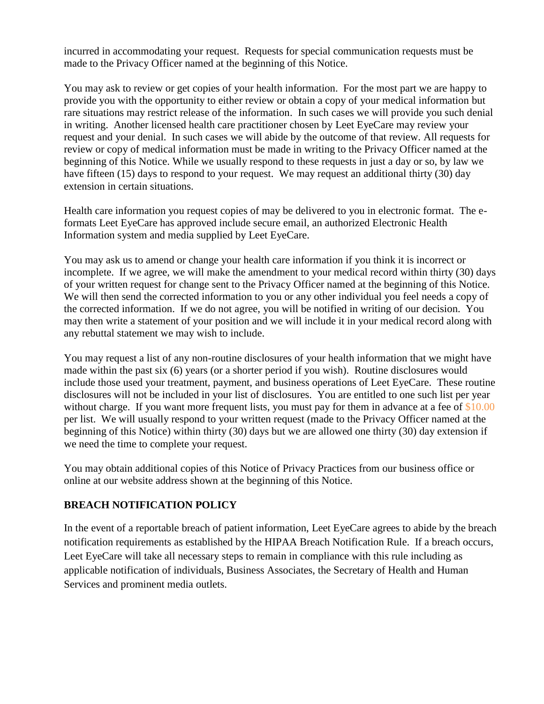incurred in accommodating your request. Requests for special communication requests must be made to the Privacy Officer named at the beginning of this Notice.

You may ask to review or get copies of your health information. For the most part we are happy to provide you with the opportunity to either review or obtain a copy of your medical information but rare situations may restrict release of the information. In such cases we will provide you such denial in writing. Another licensed health care practitioner chosen by Leet EyeCare may review your request and your denial. In such cases we will abide by the outcome of that review. All requests for review or copy of medical information must be made in writing to the Privacy Officer named at the beginning of this Notice. While we usually respond to these requests in just a day or so, by law we have fifteen (15) days to respond to your request. We may request an additional thirty (30) day extension in certain situations.

Health care information you request copies of may be delivered to you in electronic format. The eformats Leet EyeCare has approved include secure email, an authorized Electronic Health Information system and media supplied by Leet EyeCare.

You may ask us to amend or change your health care information if you think it is incorrect or incomplete. If we agree, we will make the amendment to your medical record within thirty (30) days of your written request for change sent to the Privacy Officer named at the beginning of this Notice. We will then send the corrected information to you or any other individual you feel needs a copy of the corrected information. If we do not agree, you will be notified in writing of our decision. You may then write a statement of your position and we will include it in your medical record along with any rebuttal statement we may wish to include.

You may request a list of any non-routine disclosures of your health information that we might have made within the past six (6) years (or a shorter period if you wish). Routine disclosures would include those used your treatment, payment, and business operations of Leet EyeCare. These routine disclosures will not be included in your list of disclosures. You are entitled to one such list per year without charge. If you want more frequent lists, you must pay for them in advance at a fee of \$10.00 per list. We will usually respond to your written request (made to the Privacy Officer named at the beginning of this Notice) within thirty (30) days but we are allowed one thirty (30) day extension if we need the time to complete your request.

You may obtain additional copies of this Notice of Privacy Practices from our business office or online at our website address shown at the beginning of this Notice.

## **BREACH NOTIFICATION POLICY**

In the event of a reportable breach of patient information, Leet EyeCare agrees to abide by the breach notification requirements as established by the HIPAA Breach Notification Rule. If a breach occurs, Leet EyeCare will take all necessary steps to remain in compliance with this rule including as applicable notification of individuals, Business Associates, the Secretary of Health and Human Services and prominent media outlets.